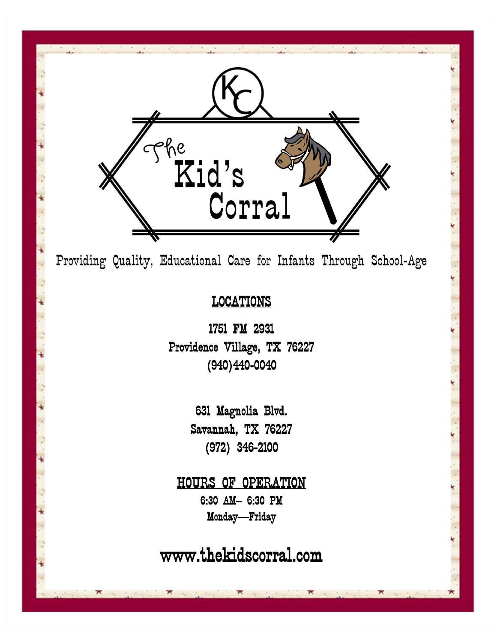

Providing Quality, Educational Care for Infants Through School-Age

# LOCATIONS  $\overline{a}$

1751 FM 2931 Providence Village, TX 76227 (940)440-0040

> 631 Magnolia Blvd. Savannah, TX 76227 (972) 346-2100

HOURS OF OPERATION 6:30 AM– 6:30 PM Monday—Friday

www.thekidscorral.com

1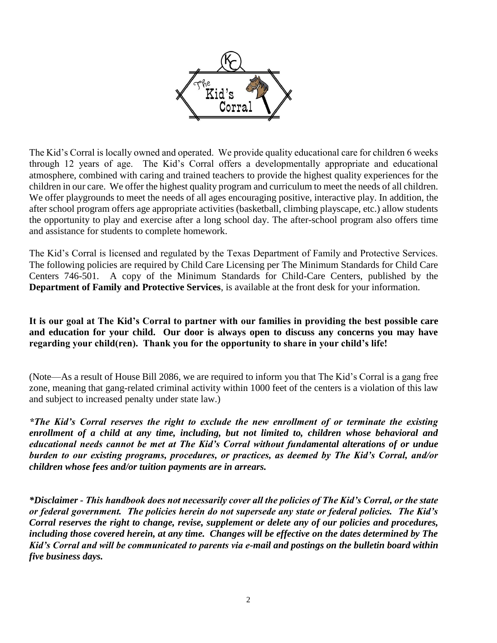

The Kid's Corral is locally owned and operated. We provide quality educational care for children 6 weeks through 12 years of age. The Kid's Corral offers a developmentally appropriate and educational atmosphere, combined with caring and trained teachers to provide the highest quality experiences for the children in our care. We offer the highest quality program and curriculum to meet the needs of all children. We offer playgrounds to meet the needs of all ages encouraging positive, interactive play. In addition, the after school program offers age appropriate activities (basketball, climbing playscape, etc.) allow students the opportunity to play and exercise after a long school day. The after-school program also offers time and assistance for students to complete homework.

The Kid's Corral is licensed and regulated by the Texas Department of Family and Protective Services. The following policies are required by Child Care Licensing per The Minimum Standards for Child Care Centers 746-501. A copy of the Minimum Standards for Child-Care Centers, published by the **Department of Family and Protective Services**, is available at the front desk for your information.

**It is our goal at The Kid's Corral to partner with our families in providing the best possible care and education for your child. Our door is always open to discuss any concerns you may have regarding your child(ren). Thank you for the opportunity to share in your child's life!** 

(Note—As a result of House Bill 2086, we are required to inform you that The Kid's Corral is a gang free zone, meaning that gang-related criminal activity within 1000 feet of the centers is a violation of this law and subject to increased penalty under state law.)

*\*The Kid's Corral reserves the right to exclude the new enrollment of or terminate the existing enrollment of a child at any time, including, but not limited to, children whose behavioral and educational needs cannot be met at The Kid's Corral without fundamental alterations of or undue burden to our existing programs, procedures, or practices, as deemed by The Kid's Corral, and/or children whose fees and/or tuition payments are in arrears.* 

*\*Disclaimer - This handbook does not necessarily cover all the policies of The Kid's Corral, or the state or federal government. The policies herein do not supersede any state or federal policies. The Kid's Corral reserves the right to change, revise, supplement or delete any of our policies and procedures, including those covered herein, at any time. Changes will be effective on the dates determined by The Kid's Corral and will be communicated to parents via e-mail and postings on the bulletin board within five business days.*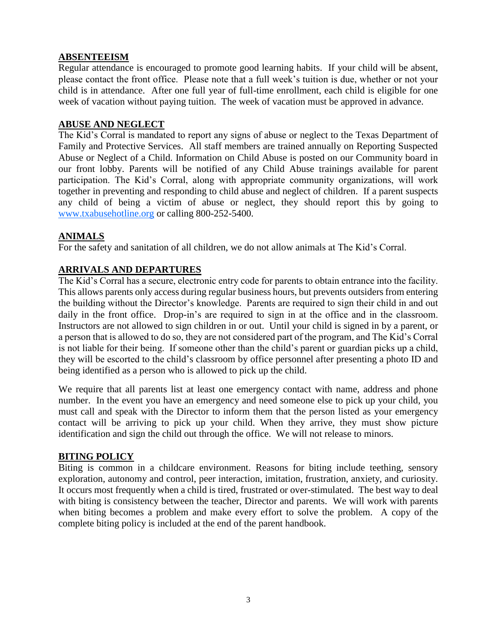# **ABSENTEEISM**

Regular attendance is encouraged to promote good learning habits. If your child will be absent, please contact the front office. Please note that a full week's tuition is due, whether or not your child is in attendance. After one full year of full-time enrollment, each child is eligible for one week of vacation without paying tuition. The week of vacation must be approved in advance.

### **ABUSE AND NEGLECT**

The Kid's Corral is mandated to report any signs of abuse or neglect to the Texas Department of Family and Protective Services. All staff members are trained annually on Reporting Suspected Abuse or Neglect of a Child. Information on Child Abuse is posted on our Community board in our front lobby. Parents will be notified of any Child Abuse trainings available for parent participation. The Kid's Corral, along with appropriate community organizations, will work together in preventing and responding to child abuse and neglect of children. If a parent suspects any child of being a victim of abuse or neglect, they should report this by going to [www.txabusehotline.org](http://www.txabusehotline.org/) or calling 800-252-5400.

# **ANIMALS**

For the safety and sanitation of all children, we do not allow animals at The Kid's Corral.

# **ARRIVALS AND DEPARTURES**

The Kid's Corral has a secure, electronic entry code for parents to obtain entrance into the facility. This allows parents only access during regular business hours, but prevents outsiders from entering the building without the Director's knowledge. Parents are required to sign their child in and out daily in the front office. Drop-in's are required to sign in at the office and in the classroom. Instructors are not allowed to sign children in or out. Until your child is signed in by a parent, or a person that is allowed to do so, they are not considered part of the program, and The Kid's Corral is not liable for their being. If someone other than the child's parent or guardian picks up a child, they will be escorted to the child's classroom by office personnel after presenting a photo ID and being identified as a person who is allowed to pick up the child.

We require that all parents list at least one emergency contact with name, address and phone number. In the event you have an emergency and need someone else to pick up your child, you must call and speak with the Director to inform them that the person listed as your emergency contact will be arriving to pick up your child. When they arrive, they must show picture identification and sign the child out through the office. We will not release to minors.

### **BITING POLICY**

Biting is common in a childcare environment. Reasons for biting include teething, sensory exploration, autonomy and control, peer interaction, imitation, frustration, anxiety, and curiosity. It occurs most frequently when a child is tired, frustrated or over-stimulated. The best way to deal with biting is consistency between the teacher, Director and parents. We will work with parents when biting becomes a problem and make every effort to solve the problem. A copy of the complete biting policy is included at the end of the parent handbook.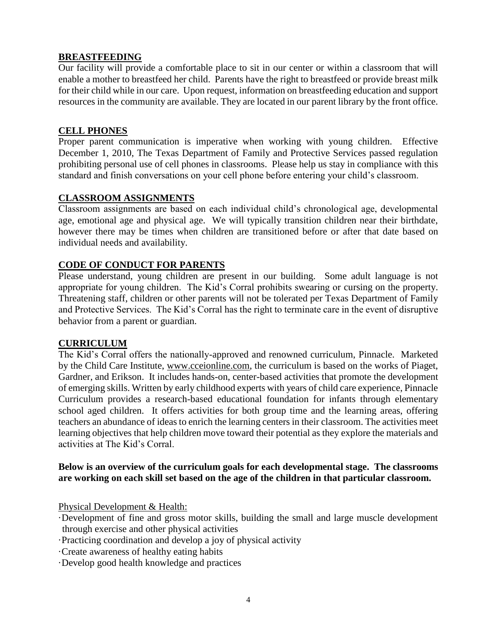# **BREASTFEEDING**

Our facility will provide a comfortable place to sit in our center or within a classroom that will enable a mother to breastfeed her child. Parents have the right to breastfeed or provide breast milk for their child while in our care. Upon request, information on breastfeeding education and support resources in the community are available. They are located in our parent library by the front office.

### **CELL PHONES**

Proper parent communication is imperative when working with young children. Effective December 1, 2010, The Texas Department of Family and Protective Services passed regulation prohibiting personal use of cell phones in classrooms. Please help us stay in compliance with this standard and finish conversations on your cell phone before entering your child's classroom.

### **CLASSROOM ASSIGNMENTS**

Classroom assignments are based on each individual child's chronological age, developmental age, emotional age and physical age. We will typically transition children near their birthdate, however there may be times when children are transitioned before or after that date based on individual needs and availability.

### **CODE OF CONDUCT FOR PARENTS**

Please understand, young children are present in our building. Some adult language is not appropriate for young children. The Kid's Corral prohibits swearing or cursing on the property. Threatening staff, children or other parents will not be tolerated per Texas Department of Family and Protective Services. The Kid's Corral has the right to terminate care in the event of disruptive behavior from a parent or guardian.

### **CURRICULUM**

The Kid's Corral offers the nationally-approved and renowned curriculum, Pinnacle. Marketed by the Child Care Institute, [www.cceionline.com,](http://www.cceionline.com/) the curriculum is based on the works of Piaget, Gardner, and Erikson. It includes hands-on, center-based activities that promote the development of emerging skills. Written by early childhood experts with years of child care experience, Pinnacle Curriculum provides a research-based educational foundation for infants through elementary school aged children. It offers activities for both group time and the learning areas, offering teachers an abundance of ideas to enrich the learning centers in their classroom. The activities meet learning objectives that help children move toward their potential as they explore the materials and activities at The Kid's Corral.

### **Below is an overview of the curriculum goals for each developmental stage. The classrooms are working on each skill set based on the age of the children in that particular classroom.**

Physical Development & Health:

- ·Development of fine and gross motor skills, building the small and large muscle development through exercise and other physical activities
- ·Practicing coordination and develop a joy of physical activity
- ·Create awareness of healthy eating habits
- ·Develop good health knowledge and practices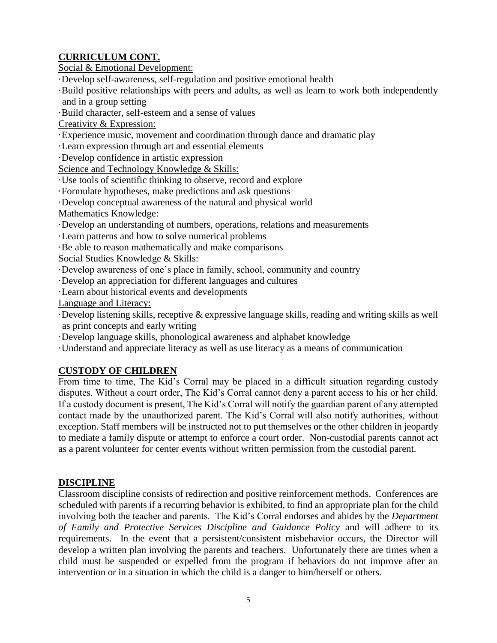# **CURRICULUM CONT.**

Social & Emotional Development:

·Develop self-awareness, self-regulation and positive emotional health

·Build positive relationships with peers and adults, as well as learn to work both independently and in a group setting

·Build character, self-esteem and a sense of values

Creativity & Expression:

·Experience music, movement and coordination through dance and dramatic play

·Learn expression through art and essential elements

·Develop confidence in artistic expression

Science and Technology Knowledge & Skills:

·Use tools of scientific thinking to observe, record and explore

·Formulate hypotheses, make predictions and ask questions

·Develop conceptual awareness of the natural and physical world

Mathematics Knowledge:

·Develop an understanding of numbers, operations, relations and measurements

·Learn patterns and how to solve numerical problems

·Be able to reason mathematically and make comparisons

Social Studies Knowledge & Skills:

·Develop awareness of one's place in family, school, community and country

·Develop an appreciation for different languages and cultures

·Learn about historical events and developments

Language and Literacy:

·Develop listening skills, receptive & expressive language skills, reading and writing skills as well as print concepts and early writing

·Develop language skills, phonological awareness and alphabet knowledge

·Understand and appreciate literacy as well as use literacy as a means of communication

# **CUSTODY OF CHILDREN**

From time to time, The Kid's Corral may be placed in a difficult situation regarding custody disputes. Without a court order, The Kid's Corral cannot deny a parent access to his or her child. If a custody document is present, The Kid's Corral will notify the guardian parent of any attempted contact made by the unauthorized parent. The Kid's Corral will also notify authorities, without exception. Staff members will be instructed not to put themselves or the other children in jeopardy to mediate a family dispute or attempt to enforce a court order. Non-custodial parents cannot act as a parent volunteer for center events without written permission from the custodial parent.

# **DISCIPLINE**

Classroom discipline consists of redirection and positive reinforcement methods. Conferences are scheduled with parents if a recurring behavior is exhibited, to find an appropriate plan for the child involving both the teacher and parents. The Kid's Corral endorses and abides by the *Department of Family and Protective Services Discipline and Guidance Policy* and will adhere to its requirements. In the event that a persistent/consistent misbehavior occurs, the Director will develop a written plan involving the parents and teachers. Unfortunately there are times when a child must be suspended or expelled from the program if behaviors do not improve after an intervention or in a situation in which the child is a danger to him/herself or others.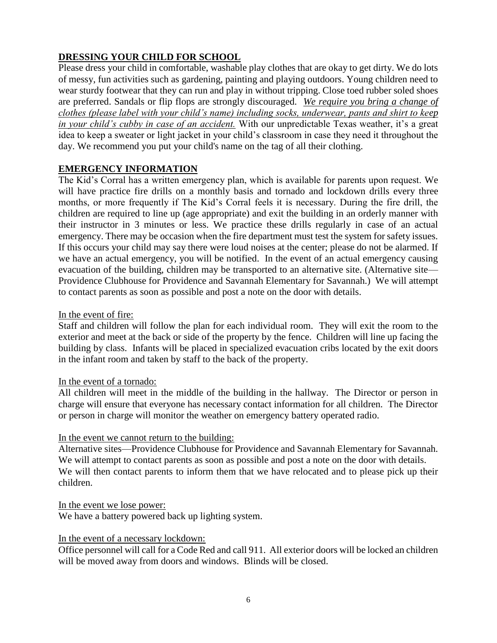# **DRESSING YOUR CHILD FOR SCHOOL**

Please dress your child in comfortable, washable play clothes that are okay to get dirty. We do lots of messy, fun activities such as gardening, painting and playing outdoors. Young children need to wear sturdy footwear that they can run and play in without tripping. Close toed rubber soled shoes are preferred. Sandals or flip flops are strongly discouraged. *We require you bring a change of clothes (please label with your child's name) including socks, underwear, pants and shirt to keep in your child's cubby in case of an accident.* With our unpredictable Texas weather, it's a great idea to keep a sweater or light jacket in your child's classroom in case they need it throughout the day. We recommend you put your child's name on the tag of all their clothing.

# **EMERGENCY INFORMATION**

The Kid's Corral has a written emergency plan, which is available for parents upon request. We will have practice fire drills on a monthly basis and tornado and lockdown drills every three months, or more frequently if The Kid's Corral feels it is necessary. During the fire drill, the children are required to line up (age appropriate) and exit the building in an orderly manner with their instructor in 3 minutes or less. We practice these drills regularly in case of an actual emergency. There may be occasion when the fire department must test the system for safety issues. If this occurs your child may say there were loud noises at the center; please do not be alarmed. If we have an actual emergency, you will be notified. In the event of an actual emergency causing evacuation of the building, children may be transported to an alternative site. (Alternative site— Providence Clubhouse for Providence and Savannah Elementary for Savannah.) We will attempt to contact parents as soon as possible and post a note on the door with details.

In the event of fire:

Staff and children will follow the plan for each individual room. They will exit the room to the exterior and meet at the back or side of the property by the fence. Children will line up facing the building by class. Infants will be placed in specialized evacuation cribs located by the exit doors in the infant room and taken by staff to the back of the property.

### In the event of a tornado:

All children will meet in the middle of the building in the hallway. The Director or person in charge will ensure that everyone has necessary contact information for all children. The Director or person in charge will monitor the weather on emergency battery operated radio.

# In the event we cannot return to the building:

Alternative sites—Providence Clubhouse for Providence and Savannah Elementary for Savannah. We will attempt to contact parents as soon as possible and post a note on the door with details. We will then contact parents to inform them that we have relocated and to please pick up their children.

In the event we lose power: We have a battery powered back up lighting system.

# In the event of a necessary lockdown:

Office personnel will call for a Code Red and call 911. All exterior doors will be locked an children will be moved away from doors and windows. Blinds will be closed.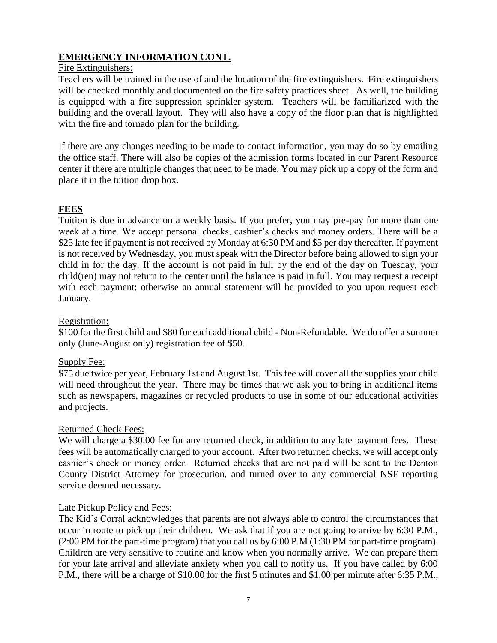# **EMERGENCY INFORMATION CONT.**

### Fire Extinguishers:

Teachers will be trained in the use of and the location of the fire extinguishers. Fire extinguishers will be checked monthly and documented on the fire safety practices sheet. As well, the building is equipped with a fire suppression sprinkler system. Teachers will be familiarized with the building and the overall layout. They will also have a copy of the floor plan that is highlighted with the fire and tornado plan for the building.

If there are any changes needing to be made to contact information, you may do so by emailing the office staff. There will also be copies of the admission forms located in our Parent Resource center if there are multiple changes that need to be made. You may pick up a copy of the form and place it in the tuition drop box.

### **FEES**

Tuition is due in advance on a weekly basis. If you prefer, you may pre-pay for more than one week at a time. We accept personal checks, cashier's checks and money orders. There will be a \$25 late fee if payment is not received by Monday at 6:30 PM and \$5 per day thereafter. If payment is not received by Wednesday, you must speak with the Director before being allowed to sign your child in for the day. If the account is not paid in full by the end of the day on Tuesday, your child(ren) may not return to the center until the balance is paid in full. You may request a receipt with each payment; otherwise an annual statement will be provided to you upon request each January.

#### Registration:

\$100 for the first child and \$80 for each additional child - Non-Refundable. We do offer a summer only (June-August only) registration fee of \$50.

### Supply Fee:

\$75 due twice per year, February 1st and August 1st. This fee will cover all the supplies your child will need throughout the year. There may be times that we ask you to bring in additional items such as newspapers, magazines or recycled products to use in some of our educational activities and projects.

#### Returned Check Fees:

We will charge a \$30.00 fee for any returned check, in addition to any late payment fees. These fees will be automatically charged to your account. After two returned checks, we will accept only cashier's check or money order. Returned checks that are not paid will be sent to the Denton County District Attorney for prosecution, and turned over to any commercial NSF reporting service deemed necessary.

### Late Pickup Policy and Fees:

The Kid's Corral acknowledges that parents are not always able to control the circumstances that occur in route to pick up their children. We ask that if you are not going to arrive by 6:30 P.M., (2:00 PM for the part-time program) that you call us by 6:00 P.M (1:30 PM for part-time program). Children are very sensitive to routine and know when you normally arrive. We can prepare them for your late arrival and alleviate anxiety when you call to notify us. If you have called by 6:00 P.M., there will be a charge of \$10.00 for the first 5 minutes and \$1.00 per minute after 6:35 P.M.,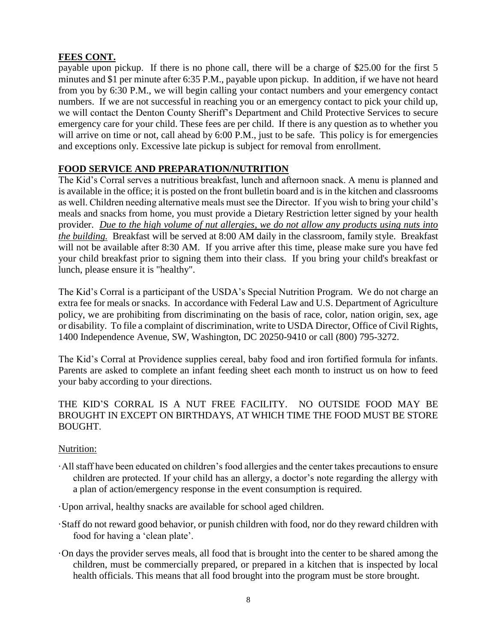# **FEES CONT.**

payable upon pickup. If there is no phone call, there will be a charge of \$25.00 for the first 5 minutes and \$1 per minute after 6:35 P.M., payable upon pickup. In addition, if we have not heard from you by 6:30 P.M., we will begin calling your contact numbers and your emergency contact numbers. If we are not successful in reaching you or an emergency contact to pick your child up, we will contact the Denton County Sheriff's Department and Child Protective Services to secure emergency care for your child. These fees are per child. If there is any question as to whether you will arrive on time or not, call ahead by 6:00 P.M., just to be safe. This policy is for emergencies and exceptions only. Excessive late pickup is subject for removal from enrollment.

# **FOOD SERVICE AND PREPARATION/NUTRITION**

The Kid's Corral serves a nutritious breakfast, lunch and afternoon snack. A menu is planned and is available in the office; it is posted on the front bulletin board and is in the kitchen and classrooms as well. Children needing alternative meals must see the Director. If you wish to bring your child's meals and snacks from home, you must provide a Dietary Restriction letter signed by your health provider. *Due to the high volume of nut allergies, we do not allow any products using nuts into the building.* Breakfast will be served at 8:00 AM daily in the classroom, family style. Breakfast will not be available after 8:30 AM. If you arrive after this time, please make sure you have fed your child breakfast prior to signing them into their class. If you bring your child's breakfast or lunch, please ensure it is "healthy".

The Kid's Corral is a participant of the USDA's Special Nutrition Program. We do not charge an extra fee for meals or snacks. In accordance with Federal Law and U.S. Department of Agriculture policy, we are prohibiting from discriminating on the basis of race, color, nation origin, sex, age or disability. To file a complaint of discrimination, write to USDA Director, Office of Civil Rights, 1400 Independence Avenue, SW, Washington, DC 20250-9410 or call (800) 795-3272.

The Kid's Corral at Providence supplies cereal, baby food and iron fortified formula for infants. Parents are asked to complete an infant feeding sheet each month to instruct us on how to feed your baby according to your directions.

# THE KID'S CORRAL IS A NUT FREE FACILITY. NO OUTSIDE FOOD MAY BE BROUGHT IN EXCEPT ON BIRTHDAYS, AT WHICH TIME THE FOOD MUST BE STORE BOUGHT.

# Nutrition:

- ·All staff have been educated on children's food allergies and the center takes precautions to ensure children are protected. If your child has an allergy, a doctor's note regarding the allergy with a plan of action/emergency response in the event consumption is required.
- ·Upon arrival, healthy snacks are available for school aged children.
- ·Staff do not reward good behavior, or punish children with food, nor do they reward children with food for having a 'clean plate'.
- ·On days the provider serves meals, all food that is brought into the center to be shared among the children, must be commercially prepared, or prepared in a kitchen that is inspected by local health officials. This means that all food brought into the program must be store brought.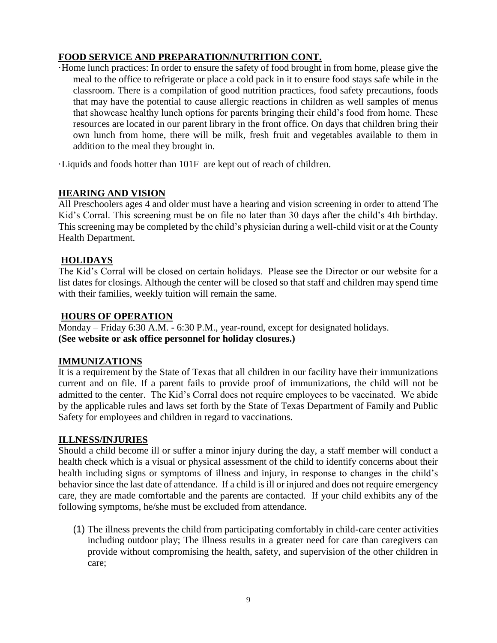# **FOOD SERVICE AND PREPARATION/NUTRITION CONT.**

·Home lunch practices: In order to ensure the safety of food brought in from home, please give the meal to the office to refrigerate or place a cold pack in it to ensure food stays safe while in the classroom. There is a compilation of good nutrition practices, food safety precautions, foods that may have the potential to cause allergic reactions in children as well samples of menus that showcase healthy lunch options for parents bringing their child's food from home. These resources are located in our parent library in the front office. On days that children bring their own lunch from home, there will be milk, fresh fruit and vegetables available to them in addition to the meal they brought in.

·Liquids and foods hotter than 101F are kept out of reach of children.

# **HEARING AND VISION**

All Preschoolers ages 4 and older must have a hearing and vision screening in order to attend The Kid's Corral. This screening must be on file no later than 30 days after the child's 4th birthday. This screening may be completed by the child's physician during a well-child visit or at the County Health Department.

# **HOLIDAYS**

The Kid's Corral will be closed on certain holidays. Please see the Director or our website for a list dates for closings. Although the center will be closed so that staff and children may spend time with their families, weekly tuition will remain the same.

# **HOURS OF OPERATION**

Monday – Friday 6:30 A.M. - 6:30 P.M., year-round, except for designated holidays. **(See website or ask office personnel for holiday closures.)**

# **IMMUNIZATIONS**

It is a requirement by the State of Texas that all children in our facility have their immunizations current and on file. If a parent fails to provide proof of immunizations, the child will not be admitted to the center. The Kid's Corral does not require employees to be vaccinated. We abide by the applicable rules and laws set forth by the State of Texas Department of Family and Public Safety for employees and children in regard to vaccinations.

# **ILLNESS/INJURIES**

Should a child become ill or suffer a minor injury during the day, a staff member will conduct a health check which is a visual or physical assessment of the child to identify concerns about their health including signs or symptoms of illness and injury, in response to changes in the child's behavior since the last date of attendance. If a child is ill or injured and does not require emergency care, they are made comfortable and the parents are contacted. If your child exhibits any of the following symptoms, he/she must be excluded from attendance.

(1) The illness prevents the child from participating comfortably in child-care center activities including outdoor play; The illness results in a greater need for care than caregivers can provide without compromising the health, safety, and supervision of the other children in care;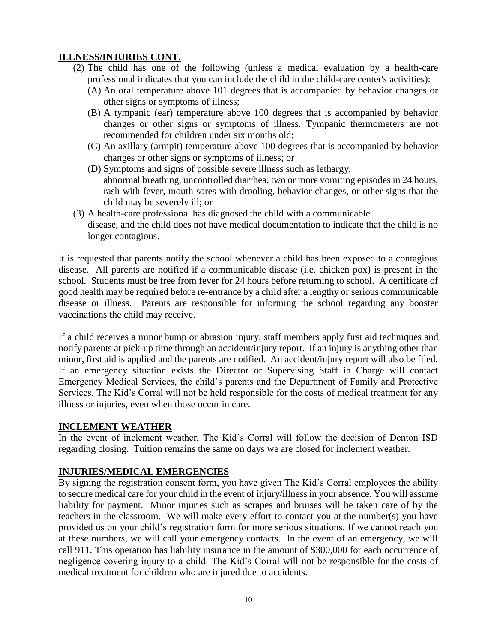# **ILLNESS/INJURIES CONT.**

- (2) The child has one of the following (unless a medical evaluation by a health-care professional indicates that you can include the child in the child-care center's activities):
	- (A) An oral temperature above 101 degrees that is accompanied by behavior changes or other signs or symptoms of illness;
	- (B) A tympanic (ear) temperature above 100 degrees that is accompanied by behavior changes or other signs or symptoms of illness. Tympanic thermometers are not recommended for children under six months old;
	- (C) An axillary (armpit) temperature above 100 degrees that is accompanied by behavior changes or other signs or symptoms of illness; or
	- (D) Symptoms and signs of possible severe illness such as lethargy, abnormal breathing, uncontrolled diarrhea, two or more vomiting episodes in 24 hours, rash with fever, mouth sores with drooling, behavior changes, or other signs that the child may be severely ill; or
- (3) A health-care professional has diagnosed the child with a communicable disease, and the child does not have medical documentation to indicate that the child is no longer contagious.

It is requested that parents notify the school whenever a child has been exposed to a contagious disease. All parents are notified if a communicable disease (i.e. chicken pox) is present in the school. Students must be free from fever for 24 hours before returning to school. A certificate of good health may be required before re-entrance by a child after a lengthy or serious communicable disease or illness. Parents are responsible for informing the school regarding any booster vaccinations the child may receive.

If a child receives a minor bump or abrasion injury, staff members apply first aid techniques and notify parents at pick-up time through an accident/injury report. If an injury is anything other than minor, first aid is applied and the parents are notified. An accident/injury report will also be filed. If an emergency situation exists the Director or Supervising Staff in Charge will contact Emergency Medical Services, the child's parents and the Department of Family and Protective Services. The Kid's Corral will not be held responsible for the costs of medical treatment for any illness or injuries, even when those occur in care.

# **INCLEMENT WEATHER**

In the event of inclement weather, The Kid's Corral will follow the decision of Denton ISD regarding closing. Tuition remains the same on days we are closed for inclement weather.

# **INJURIES/MEDICAL EMERGENCIES**

By signing the registration consent form, you have given The Kid's Corral employees the ability to secure medical care for your child in the event of injury/illness in your absence. You will assume liability for payment. Minor injuries such as scrapes and bruises will be taken care of by the teachers in the classroom. We will make every effort to contact you at the number(s) you have provided us on your child's registration form for more serious situations. If we cannot reach you at these numbers, we will call your emergency contacts. In the event of an emergency, we will call 911. This operation has liability insurance in the amount of \$300,000 for each occurrence of negligence covering injury to a child. The Kid's Corral will not be responsible for the costs of medical treatment for children who are injured due to accidents.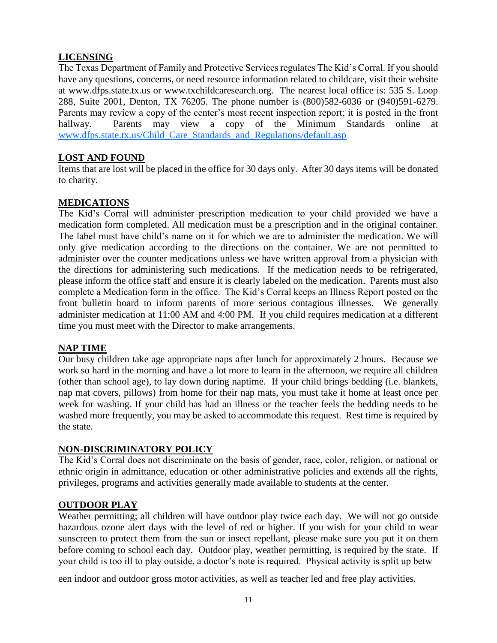# **LICENSING**

The Texas Department of Family and Protective Services regulates The Kid's Corral. If you should have any questions, concerns, or need resource information related to childcare, visit their website at www.dfps.state.tx.us or www.txchildcaresearch.org. The nearest local office is: 535 S. Loop 288, Suite 2001, Denton, TX 76205. The phone number is (800)582-6036 or (940)591-6279. Parents may review a copy of the center's most recent inspection report; it is posted in the front hallway. Parents may view a copy of the Minimum Standards online at [www.dfps.state.tx.us/Child\\_Care\\_Standards\\_and\\_Regulations/default.asp](http://www.dfps.state.tx.us/Child_Care_Standards_and_Regulations/default.asp)

### **LOST AND FOUND**

Items that are lost will be placed in the office for 30 days only. After 30 days items will be donated to charity.

### **MEDICATIONS**

The Kid's Corral will administer prescription medication to your child provided we have a medication form completed. All medication must be a prescription and in the original container. The label must have child's name on it for which we are to administer the medication. We will only give medication according to the directions on the container. We are not permitted to administer over the counter medications unless we have written approval from a physician with the directions for administering such medications. If the medication needs to be refrigerated, please inform the office staff and ensure it is clearly labeled on the medication. Parents must also complete a Medication form in the office. The Kid's Corral keeps an Illness Report posted on the front bulletin board to inform parents of more serious contagious illnesses. We generally administer medication at 11:00 AM and 4:00 PM. If you child requires medication at a different time you must meet with the Director to make arrangements.

### **NAP TIME**

Our busy children take age appropriate naps after lunch for approximately 2 hours. Because we work so hard in the morning and have a lot more to learn in the afternoon, we require all children (other than school age), to lay down during naptime. If your child brings bedding (i.e. blankets, nap mat covers, pillows) from home for their nap mats, you must take it home at least once per week for washing. If your child has had an illness or the teacher feels the bedding needs to be washed more frequently, you may be asked to accommodate this request. Rest time is required by the state.

### **NON-DISCRIMINATORY POLICY**

The Kid's Corral does not discriminate on the basis of gender, race, color, religion, or national or ethnic origin in admittance, education or other administrative policies and extends all the rights, privileges, programs and activities generally made available to students at the center.

### **OUTDOOR PLAY**

Weather permitting; all children will have outdoor play twice each day. We will not go outside hazardous ozone alert days with the level of red or higher. If you wish for your child to wear sunscreen to protect them from the sun or insect repellant, please make sure you put it on them before coming to school each day. Outdoor play, weather permitting, is required by the state. If your child is too ill to play outside, a doctor's note is required. Physical activity is split up betw

een indoor and outdoor gross motor activities, as well as teacher led and free play activities.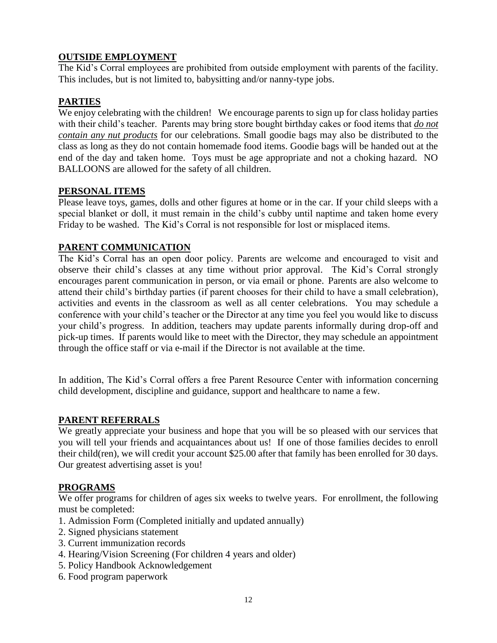# **OUTSIDE EMPLOYMENT**

The Kid's Corral employees are prohibited from outside employment with parents of the facility. This includes, but is not limited to, babysitting and/or nanny-type jobs.

# **PARTIES**

We enjoy celebrating with the children! We encourage parents to sign up for class holiday parties with their child's teacher. Parents may bring store bought birthday cakes or food items that *do not contain any nut products* for our celebrations. Small goodie bags may also be distributed to the class as long as they do not contain homemade food items. Goodie bags will be handed out at the end of the day and taken home. Toys must be age appropriate and not a choking hazard. NO BALLOONS are allowed for the safety of all children.

### **PERSONAL ITEMS**

Please leave toys, games, dolls and other figures at home or in the car. If your child sleeps with a special blanket or doll, it must remain in the child's cubby until naptime and taken home every Friday to be washed. The Kid's Corral is not responsible for lost or misplaced items.

# **PARENT COMMUNICATION**

The Kid's Corral has an open door policy. Parents are welcome and encouraged to visit and observe their child's classes at any time without prior approval. The Kid's Corral strongly encourages parent communication in person, or via email or phone. Parents are also welcome to attend their child's birthday parties (if parent chooses for their child to have a small celebration), activities and events in the classroom as well as all center celebrations. You may schedule a conference with your child's teacher or the Director at any time you feel you would like to discuss your child's progress. In addition, teachers may update parents informally during drop-off and pick-up times. If parents would like to meet with the Director, they may schedule an appointment through the office staff or via e-mail if the Director is not available at the time.

In addition, The Kid's Corral offers a free Parent Resource Center with information concerning child development, discipline and guidance, support and healthcare to name a few.

### **PARENT REFERRALS**

We greatly appreciate your business and hope that you will be so pleased with our services that you will tell your friends and acquaintances about us! If one of those families decides to enroll their child(ren), we will credit your account \$25.00 after that family has been enrolled for 30 days. Our greatest advertising asset is you!

### **PROGRAMS**

We offer programs for children of ages six weeks to twelve years. For enrollment, the following must be completed:

- 1. Admission Form (Completed initially and updated annually)
- 2. Signed physicians statement
- 3. Current immunization records
- 4. Hearing/Vision Screening (For children 4 years and older)
- 5. Policy Handbook Acknowledgement
- 6. Food program paperwork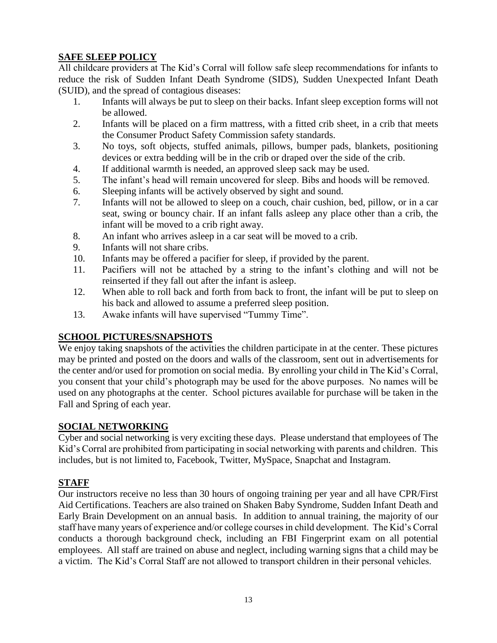# **SAFE SLEEP POLICY**

All childcare providers at The Kid's Corral will follow safe sleep recommendations for infants to reduce the risk of Sudden Infant Death Syndrome (SIDS), Sudden Unexpected Infant Death (SUID), and the spread of contagious diseases:

- 1. Infants will always be put to sleep on their backs. Infant sleep exception forms will not be allowed.
- 2. Infants will be placed on a firm mattress, with a fitted crib sheet, in a crib that meets the Consumer Product Safety Commission safety standards.
- 3. No toys, soft objects, stuffed animals, pillows, bumper pads, blankets, positioning devices or extra bedding will be in the crib or draped over the side of the crib.
- 4. If additional warmth is needed, an approved sleep sack may be used.
- 5. The infant's head will remain uncovered for sleep. Bibs and hoods will be removed.
- 6. Sleeping infants will be actively observed by sight and sound.
- 7. Infants will not be allowed to sleep on a couch, chair cushion, bed, pillow, or in a car seat, swing or bouncy chair. If an infant falls asleep any place other than a crib, the infant will be moved to a crib right away.
- 8. An infant who arrives asleep in a car seat will be moved to a crib.
- 9. Infants will not share cribs.
- 10. Infants may be offered a pacifier for sleep, if provided by the parent.
- 11. Pacifiers will not be attached by a string to the infant's clothing and will not be reinserted if they fall out after the infant is asleep.
- 12. When able to roll back and forth from back to front, the infant will be put to sleep on his back and allowed to assume a preferred sleep position.
- 13. Awake infants will have supervised "Tummy Time".

# **SCHOOL PICTURES/SNAPSHOTS**

We enjoy taking snapshots of the activities the children participate in at the center. These pictures may be printed and posted on the doors and walls of the classroom, sent out in advertisements for the center and/or used for promotion on social media. By enrolling your child in The Kid's Corral, you consent that your child's photograph may be used for the above purposes. No names will be used on any photographs at the center. School pictures available for purchase will be taken in the Fall and Spring of each year.

# **SOCIAL NETWORKING**

Cyber and social networking is very exciting these days. Please understand that employees of The Kid's Corral are prohibited from participating in social networking with parents and children. This includes, but is not limited to, Facebook, Twitter, MySpace, Snapchat and Instagram.

# **STAFF**

Our instructors receive no less than 30 hours of ongoing training per year and all have CPR/First Aid Certifications. Teachers are also trained on Shaken Baby Syndrome, Sudden Infant Death and Early Brain Development on an annual basis. In addition to annual training, the majority of our staff have many years of experience and/or college courses in child development. The Kid's Corral conducts a thorough background check, including an FBI Fingerprint exam on all potential employees. All staff are trained on abuse and neglect, including warning signs that a child may be a victim. The Kid's Corral Staff are not allowed to transport children in their personal vehicles.